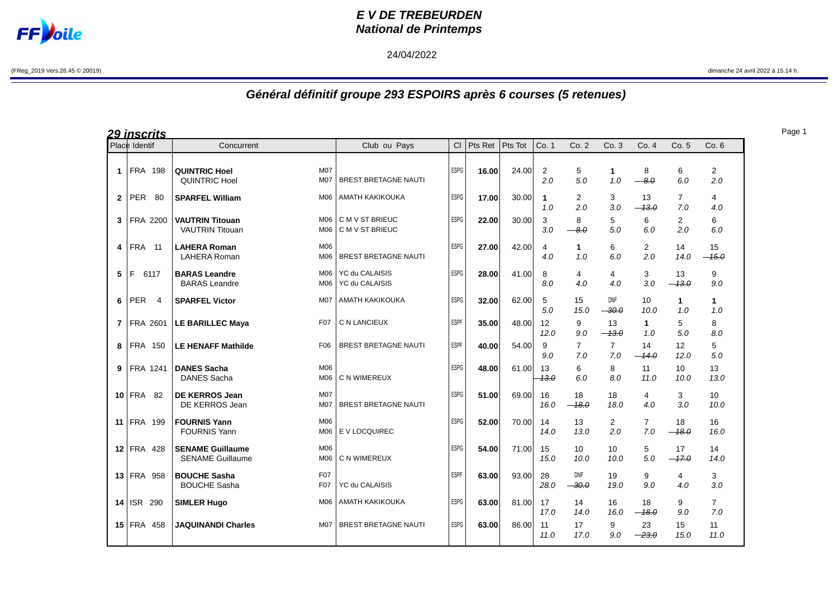

## **E V DE TREBEURDEN National de Printemps**

## 24/04/2022

(FReg\_2019 Vers.26.45 © 20019) dimanche 24 avril 2022 à 15.14 h.

## **Général définitif groupe 293 ESPOIRS après 6 courses (5 retenues)**

| <u> 29 inscrits</u> |                              |                                                                  |                                    |             |                 |       |               |                       |                       |                       |                       |                       |
|---------------------|------------------------------|------------------------------------------------------------------|------------------------------------|-------------|-----------------|-------|---------------|-----------------------|-----------------------|-----------------------|-----------------------|-----------------------|
|                     | Place Identif                | Concurrent                                                       | Club ou Pays                       | CI          | Pts Ret Pts Tot |       | Co. 1         | Co.2                  | Co.3                  | Co. 4                 | Co. 5                 | Co. 6                 |
| $\mathbf{1}$        | <b>FRA 198</b>               | M07<br><b>QUINTRIC Hoel</b><br><b>QUINTRIC Hoel</b><br>M07       | <b>BREST BRETAGNE NAUTI</b>        | ESPG        | 16.00           | 24.00 | 2<br>2.0      | 5<br>5.0              | 1<br>1.0              | 8<br>$-8.0$           | 6<br>6.0              | $\overline{2}$<br>2.0 |
| $\mathbf{2}$        | <b>PER</b><br>80             | <b>SPARFEL William</b><br>M06                                    | <b>AMATH KAKIKOUKA</b>             | <b>ESPG</b> | 17.00           | 30.00 | 1<br>1.0      | $\overline{2}$<br>2.0 | 3<br>3.0              | 13<br>$-13.0$         | $\overline{7}$<br>7.0 | 4<br>4.0              |
| 3                   | FRA 2200                     | <b>VAUTRIN Titouan</b><br>M06<br><b>VAUTRIN Titouan</b><br>M06   | C M V ST BRIEUC<br>C M V ST BRIEUC | ESPG        | 22.00           | 30.00 | 3<br>3.0      | 8<br>$-8.0$           | 5<br>5.0              | 6<br>6.0              | $\overline{2}$<br>2.0 | 6<br>6.0              |
| 4                   | <b>FRA</b> 11                | M06<br><b>LAHERA Roman</b><br>LAHERA Roman<br>M06                | <b>BREST BRETAGNE NAUTI</b>        | ESPG        | 27.00           | 42.00 | 4<br>4.0      | $\mathbf{1}$<br>1.0   | 6<br>6.0              | $\overline{2}$<br>2.0 | 14<br>14.0            | 15<br>$-15.0$         |
| 5                   | F<br>6117                    | <b>BARAS Leandre</b><br>M06<br>M06<br><b>BARAS</b> Leandre       | YC du CALAISIS<br>YC du CALAISIS   | ESPG        | 28.00           | 41.00 | 8<br>8.0      | 4<br>4.0              | 4<br>4.0              | 3<br>3.0              | 13<br>$-13.0$         | 9<br>9.0              |
| 6                   | <b>PER</b><br>$\overline{4}$ | <b>SPARFEL Victor</b><br>M07                                     | <b>AMATH KAKIKOUKA</b>             | <b>ESPG</b> | 32.00           | 62.00 | 5<br>5.0      | 15<br>15.0            | <b>DNF</b><br>$-30.0$ | 10<br>10.0            | $\mathbf{1}$<br>1.0   | $\mathbf{1}$<br>1.0   |
| $\overline{7}$      | FRA 2601                     | <b>LE BARILLEC Maya</b><br>F <sub>0</sub> 7                      | C N LANCIEUX                       | ESPF        | 35.00           | 48.00 | 12<br>12.0    | 9<br>9.0              | 13<br>$-13.0$         | $\mathbf 1$<br>1.0    | 5<br>5.0              | 8<br>8.0              |
| 8                   | <b>FRA 150</b>               | F <sub>06</sub><br><b>LE HENAFF Mathilde</b>                     | <b>BREST BRETAGNE NAUTI</b>        | ESPF        | 40.00           | 54.00 | 9<br>9.0      | $\overline{7}$<br>7.0 | $\overline{7}$<br>7.0 | 14<br>$-14.0$         | 12<br>12.0            | 5<br>5.0              |
| 9                   | FRA 1241                     | <b>DANES Sacha</b><br>M06<br><b>DANES Sacha</b><br>M06           | C N WIMEREUX                       | ESPG        | 48.00           | 61.00 | 13<br>$-13.0$ | 6<br>6.0              | 8<br>8.0              | 11<br>11.0            | 10<br>10.0            | 13<br>13.0            |
| 10                  | <b>FRA 82</b>                | <b>M07</b><br>DE KERROS Jean<br>DE KERROS Jean<br>M07            | <b>BREST BRETAGNE NAUTI</b>        | <b>ESPG</b> | 51.00           | 69.00 | 16<br>16.0    | 18<br>$-18.0$         | 18<br>18.0            | 4<br>4.0              | 3<br>3.0              | 10<br>10.0            |
| 11                  | FRA 199                      | M06<br><b>FOURNIS Yann</b><br><b>FOURNIS Yann</b><br>M06         | E V LOCQUIREC                      | <b>ESPG</b> | 52.00           | 70.00 | 14<br>14.0    | 13<br>13.0            | $\overline{2}$<br>2.0 | $\overline{7}$<br>7.0 | 18<br>$-18.0$         | 16<br>16.0            |
| 12 <sup>1</sup>     | <b>FRA 428</b>               | <b>SENAME Guillaume</b><br>M06<br><b>SENAME Guillaume</b><br>M06 | C N WIMEREUX                       | <b>ESPG</b> | 54.00           | 71.00 | 15<br>15.0    | 10<br>10.0            | 10<br>10.0            | 5<br>5.0              | 17<br>$-17.0$         | 14<br>14.0            |
| 13                  | <b>FRA 958</b>               | F07<br><b>BOUCHE Sasha</b><br><b>BOUCHE Sasha</b><br>F07         | YC du CALAISIS                     | <b>ESPF</b> | 63.00           | 93.00 | 28<br>28.0    | <b>DNF</b><br>$-30.0$ | 19<br>19.0            | 9<br>9.0              | 4<br>4.0              | 3<br>3.0              |
| 14                  | <b>ISR 290</b>               | <b>SIMLER Hugo</b><br>M06                                        | <b>AMATH KAKIKOUKA</b>             | <b>ESPG</b> | 63.00           | 81.00 | 17<br>17.0    | 14<br>14.0            | 16<br>16.0            | 18<br>$-18.0$         | 9<br>9.0              | $\overline{7}$<br>7.0 |
|                     | 15 FRA 458                   | <b>JAQUINANDI Charles</b><br>M <sub>0</sub> 7                    | <b>BREST BRETAGNE NAUTI</b>        | <b>ESPG</b> | 63.00           | 86.00 | 11<br>11.0    | 17<br>17.0            | 9<br>9.0              | 23<br>$-23.0$         | 15<br>15.0            | 11<br>11.0            |

Page 1